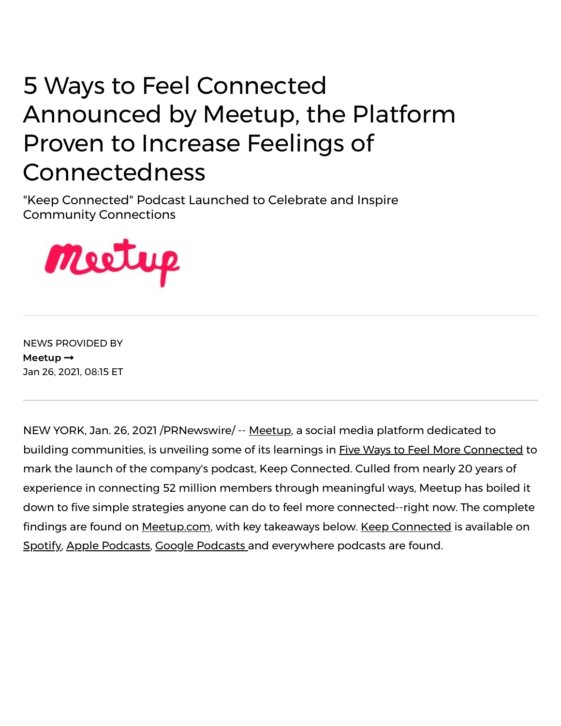## 5 Ways to Feel Connected Announced by Meetup, the Platform Proven to Increase Feelings of Connectedness

"Keep Connected" Podcast Launched to Celebrate and Inspire Community Connections



NEWS PROVIDED BY [Meetup](https://www.prnewswire.com/news/meetup/) $\rightarrow$ Jan 26, 2021, 08:15 ET

NEW YORK, Jan. 26, 2021 /PRNewswire/ -- [Meetup,](https://c212.net/c/link/?t=0&l=en&o=3046593-1&h=3157596059&u=https%3A%2F%2Fwww.meetup.com%2Fmedia&a=Meetup) a social media platform dedicated to building communities, is unveiling some of its learnings in [Five](https://c212.net/c/link/?t=0&l=en&o=3046593-1&h=4231308966&u=https%3A%2F%2Fwww.meetup.com%2Fblog%2Ffive-ways-to-feel-more-connected%2F&a=Five+) Ways to Feel More [Connected](https://c212.net/c/link/?t=0&l=en&o=3046593-1&h=94284084&u=https%3A%2F%2Fwww.meetup.com%2Fblog%2Ffive-ways-to-feel-more-connected%2F&a=Ways+to+Feel+More+Connected) to mark the launch of the company's podcast, Keep Connected. Culled from nearly 20 years of experience in connecting 52 million members through meaningful ways, Meetup has boiled it down to five simple strategies anyone can do to feel more connected--right now. The complete findings are found on [Meetup.com,](https://c212.net/c/link/?t=0&l=en&o=3046593-1&h=2013075012&u=https%3A%2F%2Fwww.meetup.com%2Fblog%2Ffive-ways-to-feel-more-connected%2F&a=Meetup.com) with key takeaways below. Keep [Connected](https://c212.net/c/link/?t=0&l=en&o=3046593-1&h=2791664587&u=https%3A%2F%2Fwww.meetup.com%2Fblog%2Fcategory%2Fkeep-connected-podcast%2F&a=Keep+Connected) is available on [Spotify,](https://c212.net/c/link/?t=0&l=en&o=3046593-1&h=3901285067&u=https%3A%2F%2Fopen.spotify.com%2Fepisode%2F07T5XsOmXFgsI8BjyqL1qE&a=Spotify) Apple [Podcasts,](https://c212.net/c/link/?t=0&l=en&o=3046593-1&h=1205591575&u=https%3A%2F%2Fpodcasts.apple.com%2Fus%2Fpodcast%2Fkeep-connected-with-meetup-ceo-david-siegel%2Fid1545712240&a=Apple+Podcasts) Google [Podcasts](https://c212.net/c/link/?t=0&l=en&o=3046593-1&h=1745536801&u=https%3A%2F%2Fpodcasts.google.com%2Ffeed%2FaHR0cHM6Ly9mZWVkcy5idXp6c3Byb3V0LmNvbS8xNTYwNjU2LnJzcw%3D%3D&a=Google+Podcasts+) and everywhere podcasts are found.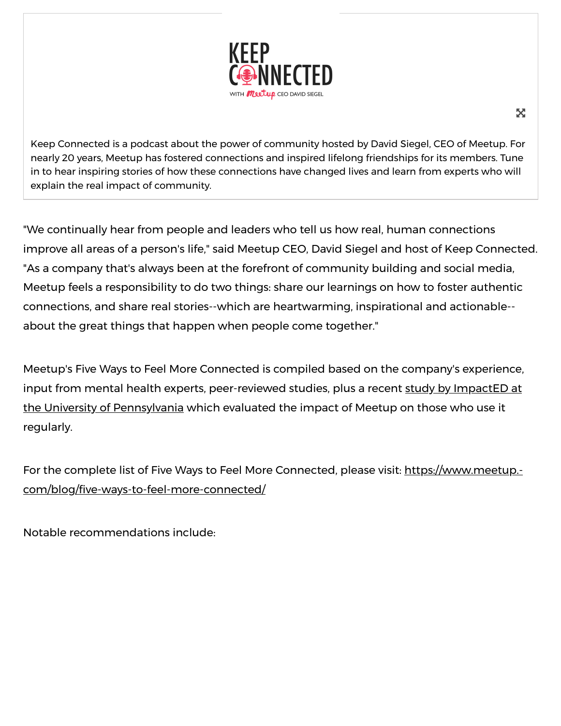

Keep Connected is a podcast about the power of community hosted by David Siegel, CEO of Meetup. For nearly 20 years, Meetup has fostered connections and inspired lifelong friendships for its members. Tune in to hear inspiring stories of how these connections have changed lives and learn from experts who will explain the real impact of community.

"We continually hear from people and leaders who tell us how real, human connections improve all areas of a person's life," said Meetup CEO, David Siegel and host of Keep Connected. "As a company that's always been at the forefront of community building and social media, Meetup feels a responsibility to do two things: share our learnings on how to foster authentic connections, and share real stories--which are heartwarming, inspirational and actionable- about the great things that happen when people come together."

Meetup's Five Ways to Feel More Connected is compiled based on the company's experience, input from mental health experts, peer-reviewed studies, plus a recent study by ImpactED at the University [of Pennsylvania](https://c212.net/c/link/?t=0&l=en&o=3046593-1&h=4092026368&u=https%3A%2F%2Fweb.sas.upenn.edu%2Fimpact-ed%2Ffeatured-projects%2Fmeetup-member-study%2F&a=study+by+ImpactED+at+the+University+of+Pennsylvania) which evaluated the impact of Meetup on those who use it regularly.

For the complete list of Five Ways to Feel More Connected, please visit: https://www.meetup.com/blog/five-ways-to-feel-more-connected/

Notable recommendations include:

52.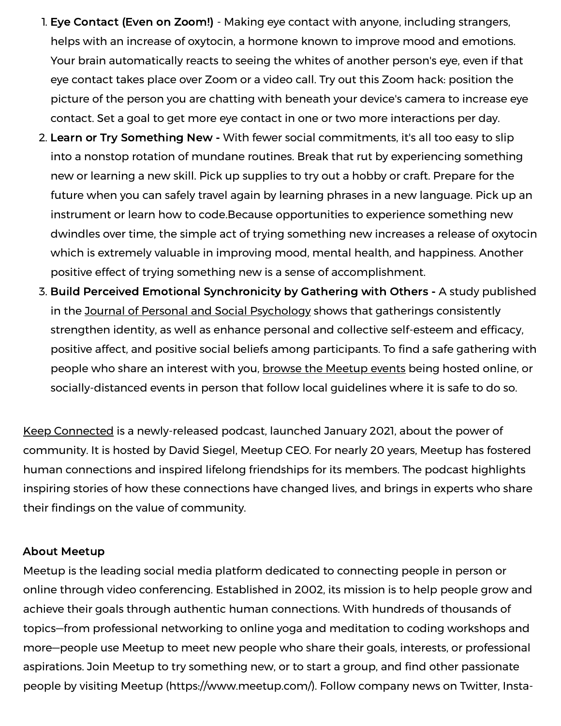- 1. Eye Contact (Even on Zoom!) Making eye contact with anyone, including strangers, helps with an increase of oxytocin, a hormone known to improve mood and emotions. Your brain automatically reacts to seeing the whites of another person's eye, even if that eye contact takes place over Zoom or a video call. Try out this Zoom hack: position the picture of the person you are chatting with beneath your device's camera to increase eye contact. Set a goal to get more eye contact in one or two more interactions per day.
- 2. Learn or Try Something New With fewer social commitments, it's all too easy to slip into a nonstop rotation of mundane routines. Break that rut by experiencing something new or learning a new skill. Pick up supplies to try out a hobby or craft. Prepare for the future when you can safely travel again by learning phrases in a new language. Pick up an instrument or learn how to code.Because opportunities to experience something new dwindles over time, the simple act of trying [something](https://c212.net/c/link/?t=0&l=en&o=3046593-1&h=3388355141&u=https%3A%2F%2Fwww.glamourmagazine.co.uk%2Farticle%2Fbest-online-courses&a=trying+something+new) new increases a release of oxytocin which is extremely valuable in improving mood, mental health, and happiness. Another positive effect of trying something new is a sense of accomplishment.
- 3. Build Perceived Emotional Synchronicity by Gathering with Others A study published in the Journal of Personal and Social [Psychology](https://c212.net/c/link/?t=0&l=en&o=3046593-1&h=2201511127&u=https%3A%2F%2Fwww.researchgate.net%2Fpublication%2F274262619_Psychosocial_Effects_of_Perceived_Emotional_Synchrony_in_Collective_Gatherings&a=Journal+of+Personal+and+Social+Psychology) shows that gatherings consistently strengthen identity, as well as enhance personal and collective self-esteem and efficacy, positive affect, and positive social beliefs among participants. To find a safe gathering with people who share an interest with you, [b](https://c212.net/c/link/?t=0&l=en&o=3046593-1&h=2103502336&u=https%3A%2F%2Fwww.meetup.com%2F&a=b)[rowse](https://c212.net/c/link/?t=0&l=en&o=3046593-1&h=1986466569&u=https%3A%2F%2Fwww.meetup.com%2F&a=rowse+) [the](https://c212.net/c/link/?t=0&l=en&o=3046593-1&h=3833550058&u=https%3A%2F%2Fwww.meetup.com%2F&a=the) [Meetup](https://c212.net/c/link/?t=0&l=en&o=3046593-1&h=909825857&u=https%3A%2F%2Fwww.meetup.com%2F&a=%C2%A0Meetup+events) events being hosted online, or socially-distanced events in person that follow local guidelines where it is safe to do so.

Keep [Connected](https://c212.net/c/link/?t=0&l=en&o=3046593-1&h=2791664587&u=https%3A%2F%2Fwww.meetup.com%2Fblog%2Fcategory%2Fkeep-connected-podcast%2F&a=Keep+Connected) is a newly-released podcast, launched January 2021, about the power of community. It is hosted by David Siegel, Meetup CEO. For nearly 20 years, Meetup has fostered human connections and inspired lifelong friendships for its members. The podcast highlights inspiring stories of how these connections have changed lives, and brings in experts who share their findings on the value of community.

## About Meetup

Meetup is the leading social media platform dedicated to connecting people in person or online through video conferencing. Established in 2002, its mission is to help people grow and achieve their goals through authentic human connections. With hundreds of thousands of topics—from professional networking to online yoga and meditation to coding workshops and more—people use Meetup to meet new people who share their goals, interests, or professional aspirations. Join Meetup to try something new, or to start a group, and find other passionate people by visiting [Meetup](https://c212.net/c/link/?t=0&l=en&o=3046593-1&h=2881249762&u=https%3A%2F%2Fc212.net%2Fc%2Flink%2F%3Ft%3D0%26l%3Den%26o%3D2961634-1%26h%3D483558767%26u%3Dhttp%253A%252F%252Fwww.meetup.com%252F%26a%3DMeetup&a=Meetup) [\(h](https://c212.net/c/link/?t=0&l=en&o=3046593-1&h=3141465619&u=https%3A%2F%2Fc212.net%2Fc%2Flink%2F%3Ft%3D0%26l%3Den%26o%3D2961634-1%26h%3D3173331274%26u%3Dhttps%253A%252F%252Fwww.instagram.com%252Fmeetup%252F%26a%3DInstagram&a=Instagram)[ttps://www.meetup.com](https://c212.net/c/link/?t=0&l=en&o=3046593-1&h=1582393819&u=https%3A%2F%2Fc212.net%2Fc%2Flink%2F%3Ft%3D0%26l%3Den%26o%3D2961634-1%26h%3D1617334920%26u%3Dhttps%253A%252F%252Fwww.meetup.com%252F%26a%3Dhttps%253A%252F%252Fwww.meetup.com%252F&a=https%3A%2F%2Fwww.meetup.com%2F)[/\).](https://c212.net/c/link/?t=0&l=en&o=3046593-1&h=3141465619&u=https%3A%2F%2Fc212.net%2Fc%2Flink%2F%3Ft%3D0%26l%3Den%26o%3D2961634-1%26h%3D3173331274%26u%3Dhttps%253A%252F%252Fwww.instagram.com%252Fmeetup%252F%26a%3DInstagram&a=Instagram) Follow company news on [Twitter,](https://c212.net/c/link/?t=0&l=en&o=3046593-1&h=922619596&u=https%3A%2F%2Fc212.net%2Fc%2Flink%2F%3Ft%3D0%26l%3Den%26o%3D2961634-1%26h%3D2178347452%26u%3Dhttps%253A%252F%252Ftwitter.com%252FMeetup%252F%26a%3DTwitter&a=Twitter) Insta